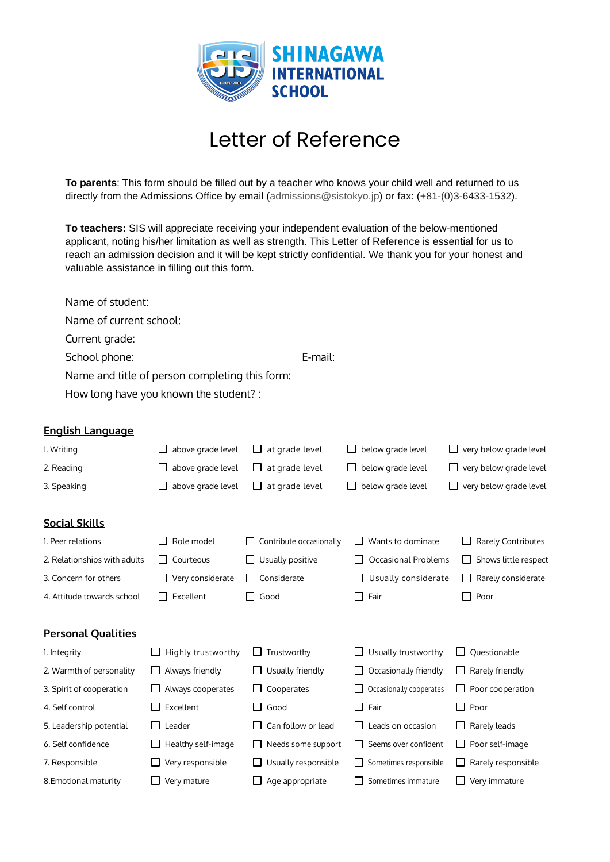

## Letter of Reference

**To parents**: This form should be filled out by a teacher who knows your child well and returned to us directly from the Admissions Office by email (admissions@sistokyo.jp) or fax: (+81-(0)3-6433-1532).

**To teachers:** SIS will appreciate receiving your independent evaluation of the below-mentioned applicant, noting his/her limitation as well as strength. This Letter of Reference is essential for us to reach an admission decision and it will be kept strictly confidential. We thank you for your honest and valuable assistance in filling out this form.

|                         | Name of student:                               |         |  |  |  |
|-------------------------|------------------------------------------------|---------|--|--|--|
|                         | Name of current school:                        |         |  |  |  |
|                         | Current grade:                                 |         |  |  |  |
|                         | School phone:                                  | E-mail: |  |  |  |
|                         | Name and title of person completing this form: |         |  |  |  |
|                         | How long have you known the student?:          |         |  |  |  |
|                         |                                                |         |  |  |  |
| <b>English Language</b> |                                                |         |  |  |  |
|                         |                                                |         |  |  |  |

| 1. Writing                   | above grade level  | at grade level          | below grade level          | very below grade level    |  |  |
|------------------------------|--------------------|-------------------------|----------------------------|---------------------------|--|--|
| 2. Reading                   | above grade level  | at grade level          | below grade level          | very below grade level    |  |  |
| 3. Speaking                  | above grade level  | at grade level          | below grade level          | very below grade level    |  |  |
|                              |                    |                         |                            |                           |  |  |
| <b>Social Skills</b>         |                    |                         |                            |                           |  |  |
| 1. Peer relations            | Role model         | Contribute occasionally | Wants to dominate          | <b>Rarely Contributes</b> |  |  |
| 2. Relationships with adults | Courteous          | Usually positive        | <b>Occasional Problems</b> | Shows little respect      |  |  |
| 3. Concern for others        | Very considerate   | Considerate<br>ப        | Usually considerate        | Rarely considerate<br>ப   |  |  |
| 4. Attitude towards school   | Excellent          | Good<br>ΙI              | $\Box$ Fair                | Poor<br>$\mathsf{L}$      |  |  |
|                              |                    |                         |                            |                           |  |  |
| <b>Personal Qualities</b>    |                    |                         |                            |                           |  |  |
| 1. Integrity                 | Highly trustworthy | Trustworthy<br>$\Box$   | Usually trustworthy        | Questionable              |  |  |
| 2. Warmth of personality     | Always friendly    | Usually friendly        | Occasionally friendly      | $\Box$ Rarely friendly    |  |  |
| 3. Spirit of cooperation     | Always cooperates  | Cooperates              | Occasionally cooperates    | Poor cooperation          |  |  |
| 4. Self control              | Excellent          | Good                    | Fair<br>$\perp$            | $\Box$ Poor               |  |  |
| 5. Leadership potential      | Leader             | Can follow or lead      | Leads on occasion          | Rarely leads              |  |  |
| 6. Self confidence           | Healthy self-image | Needs some support      | Seems over confident       | Poor self-image<br>⊔      |  |  |
| 7. Responsible               | Very responsible   | Usually responsible     | Sometimes responsible      | Rarely responsible        |  |  |
| 8. Emotional maturity        | Very mature        | Age appropriate         | Sometimes immature         | Very immature             |  |  |